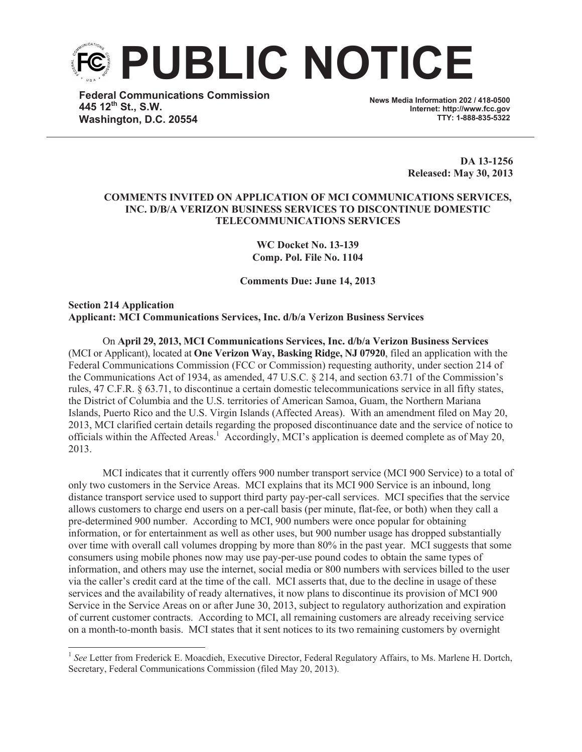

**Federal Communications Commission 445 12th St., S.W. Washington, D.C. 20554**

**News Media Information 202 / 418-0500 Internet: http://www.fcc.gov TTY: 1-888-835-5322**

> **DA 13-1256 Released: May 30, 2013**

## **COMMENTS INVITED ON APPLICATION OF MCI COMMUNICATIONS SERVICES, INC. D/B/A VERIZON BUSINESS SERVICES TO DISCONTINUE DOMESTIC TELECOMMUNICATIONS SERVICES**

**WC Docket No. 13-139 Comp. Pol. File No. 1104**

**Comments Due: June 14, 2013**

**Section 214 Application Applicant: MCI Communications Services, Inc. d/b/a Verizon Business Services**

On **April 29, 2013, MCI Communications Services, Inc. d/b/a Verizon Business Services**  (MCI or Applicant), located at **One Verizon Way, Basking Ridge, NJ 07920**, filed an application with the Federal Communications Commission (FCC or Commission) requesting authority, under section 214 of the Communications Act of 1934, as amended, 47 U.S.C. § 214, and section 63.71 of the Commission's rules, 47 C.F.R. § 63.71, to discontinue a certain domestic telecommunications service in all fifty states, the District of Columbia and the U.S. territories of American Samoa, Guam, the Northern Mariana Islands, Puerto Rico and the U.S. Virgin Islands (Affected Areas). With an amendment filed on May 20, 2013, MCI clarified certain details regarding the proposed discontinuance date and the service of notice to officials within the Affected Areas.<sup>1</sup> Accordingly, MCI's application is deemed complete as of May 20, 2013.

MCI indicates that it currently offers 900 number transport service (MCI 900 Service) to a total of only two customers in the Service Areas. MCI explains that its MCI 900 Service is an inbound, long distance transport service used to support third party pay-per-call services. MCI specifies that the service allows customers to charge end users on a per-call basis (per minute, flat-fee, or both) when they call a pre-determined 900 number. According to MCI, 900 numbers were once popular for obtaining information, or for entertainment as well as other uses, but 900 number usage has dropped substantially over time with overall call volumes dropping by more than 80% in the past year. MCI suggests that some consumers using mobile phones now may use pay-per-use pound codes to obtain the same types of information, and others may use the internet, social media or 800 numbers with services billed to the user via the caller's credit card at the time of the call. MCI asserts that, due to the decline in usage of these services and the availability of ready alternatives, it now plans to discontinue its provision of MCI 900 Service in the Service Areas on or after June 30, 2013, subject to regulatory authorization and expiration of current customer contracts. According to MCI, all remaining customers are already receiving service on a month-to-month basis. MCI states that it sent notices to its two remaining customers by overnight

<sup>&</sup>lt;sup>1</sup> See Letter from Frederick E. Moacdieh, Executive Director, Federal Regulatory Affairs, to Ms. Marlene H. Dortch, Secretary, Federal Communications Commission (filed May 20, 2013).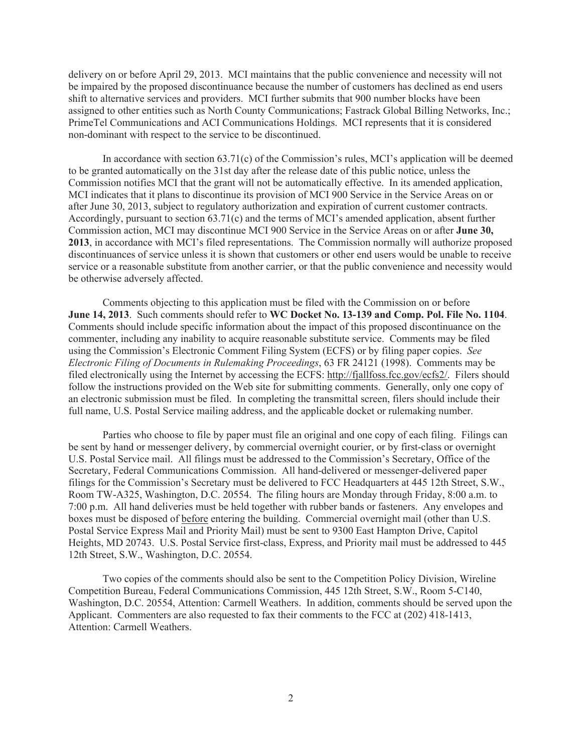delivery on or before April 29, 2013. MCI maintains that the public convenience and necessity will not be impaired by the proposed discontinuance because the number of customers has declined as end users shift to alternative services and providers. MCI further submits that 900 number blocks have been assigned to other entities such as North County Communications; Fastrack Global Billing Networks, Inc.; PrimeTel Communications and ACI Communications Holdings. MCI represents that it is considered non-dominant with respect to the service to be discontinued.

In accordance with section  $63.71(c)$  of the Commission's rules, MCI's application will be deemed to be granted automatically on the 31st day after the release date of this public notice, unless the Commission notifies MCI that the grant will not be automatically effective. In its amended application, MCI indicates that it plans to discontinue its provision of MCI 900 Service in the Service Areas on or after June 30, 2013, subject to regulatory authorization and expiration of current customer contracts. Accordingly, pursuant to section 63.71(c) and the terms of MCI's amended application, absent further Commission action, MCI may discontinue MCI 900 Service in the Service Areas on or after **June 30, 2013**, in accordance with MCI's filed representations. The Commission normally will authorize proposed discontinuances of service unless it is shown that customers or other end users would be unable to receive service or a reasonable substitute from another carrier, or that the public convenience and necessity would be otherwise adversely affected.

Comments objecting to this application must be filed with the Commission on or before **June 14, 2013**. Such comments should refer to **WC Docket No. 13-139 and Comp. Pol. File No. 1104**. Comments should include specific information about the impact of this proposed discontinuance on the commenter, including any inability to acquire reasonable substitute service. Comments may be filed using the Commission's Electronic Comment Filing System (ECFS) or by filing paper copies. *See Electronic Filing of Documents in Rulemaking Proceedings*, 63 FR 24121 (1998). Comments may be filed electronically using the Internet by accessing the ECFS: http://fjallfoss.fcc.gov/ecfs2/. Filers should follow the instructions provided on the Web site for submitting comments. Generally, only one copy of an electronic submission must be filed. In completing the transmittal screen, filers should include their full name, U.S. Postal Service mailing address, and the applicable docket or rulemaking number.

Parties who choose to file by paper must file an original and one copy of each filing. Filings can be sent by hand or messenger delivery, by commercial overnight courier, or by first-class or overnight U.S. Postal Service mail. All filings must be addressed to the Commission's Secretary, Office of the Secretary, Federal Communications Commission. All hand-delivered or messenger-delivered paper filings for the Commission's Secretary must be delivered to FCC Headquarters at 445 12th Street, S.W., Room TW-A325, Washington, D.C. 20554. The filing hours are Monday through Friday, 8:00 a.m. to 7:00 p.m. All hand deliveries must be held together with rubber bands or fasteners. Any envelopes and boxes must be disposed of before entering the building. Commercial overnight mail (other than U.S. Postal Service Express Mail and Priority Mail) must be sent to 9300 East Hampton Drive, Capitol Heights, MD 20743. U.S. Postal Service first-class, Express, and Priority mail must be addressed to 445 12th Street, S.W., Washington, D.C. 20554.

Two copies of the comments should also be sent to the Competition Policy Division, Wireline Competition Bureau, Federal Communications Commission, 445 12th Street, S.W., Room 5-C140, Washington, D.C. 20554, Attention: Carmell Weathers. In addition, comments should be served upon the Applicant. Commenters are also requested to fax their comments to the FCC at (202) 418-1413, Attention: Carmell Weathers.